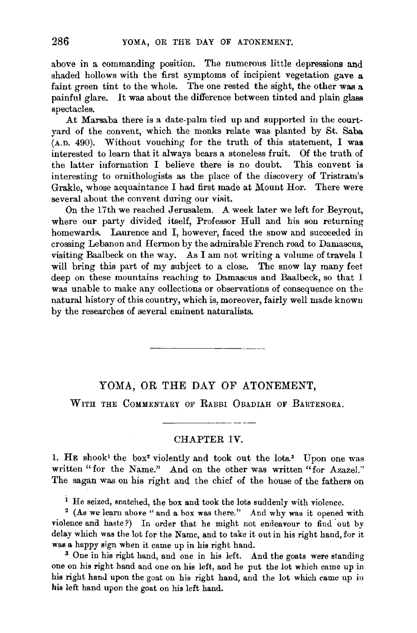above in a commanding position. The numerous little depressions and shaded hollows with the first symptoms of incipient vegetation gave a faint green tint to the whole. The one rested the sight, the other was a painful glare. It was about the difference between tinted and plain glass spectacles.

At Marsaba there is a date-palm tied up and supported in the courtyard of the convent, which the monks relate was planted by St. Saba  $(A.D. 490)$ . Without vouching for the truth of this statement, I was interested to learn that it always bears a stoneless fruit. Of the truth of the latter information I believe there is no doubt. This convent is interesting to ornithologists as the place of the discovery of Tristram's Grakle, whose acquaintance I had first made at Mount Hor. There were several about the convent during our visit.

On the 17th we reached Jerusalem. A week later we left for Beyrout, where our party divided itself, Professor Hull and his son retuming homewards. Laurence and I, however, faced the snow and succeeded in crossing Lebanon and Hermon by the admirable French road to Damascus, visiting Baalbeck on the way. As I am not writing a volume of travels I will bring this part of my subject to a close. The snow lay many feet deep on these mountains reaching to Damascus and Baalbeck, so that I was unable to make any collections or observations of consequence on the natural history of this country, which is, moreover, fairly well made known by the researches of several eminent naturalists.

## YOMA, OR THE DAY OF ATONEMENT,

WITH THE COMMENTARY OF RABBI OBADIAH OF BARTENORA.

## CHAPTER IV.

1. HE shook<sup>1</sup> the box<sup>2</sup> violently and took out the lots.<sup>3</sup> Upon one was written "for the Name." And on the other was written "for Azazel." The sagan was on his right and the chief of the house of the fathers on

<sup>i</sup> He seized, snatched, the box and took the lots suddenly with violence. <sup>2</sup> (As we learn above "and a box was there." And why was it opened with

violence and haste?) In order that he might not endeavour to find out by delay which was the lot for the Name, and to take it out in his right hand, for it was a happy sign when it came up in his right hand.

<sup>3</sup> One in his right hand, and one in his left. And the goats were standing one on his right hand and one on his left, and he put the lot which came up in his right hanu upon the goat on his right hand, and the lot which came up in his left hand upon the goat on his left hand.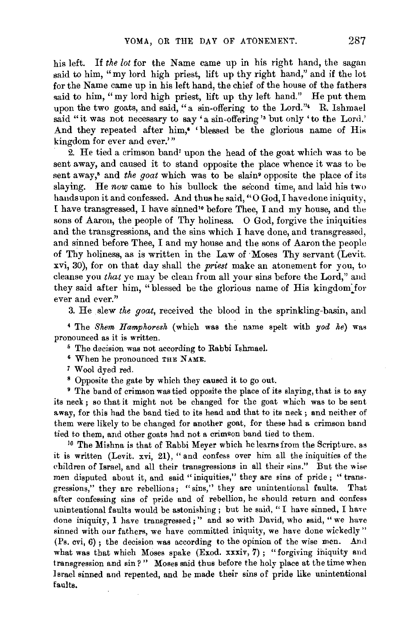his left. If *the lot* for the Name came up in his right hand, the sagan said to him, "my lord high priest, lift up thy right hand," and if the lot for the Name came up in his left hand, the chief of the house of the fathers said to him, "my lord high priest, lift up thy left hand." He put them upon the two goats, and said, "a sin-offering to the Lord." R. Ishmael said "it was not necessary to say 'a sin-offering'' but only 'to the Lord.' And they repeated after him,<sup>6</sup> 'blessed be the glorious name of His kingdom for ever and ever.'"

2. He tied a crimson band' upon the head of the goat which was to be sent away, and caused it to stand opposite the place whence it was to be sent away,<sup>8</sup> and *the goat* which was to be slain<sup>9</sup> opposite the place of its slaying. He now came to his bullock the second time, and laid his two hands upon it and confessed. And thus he said, "0 God, I have done iniquity, I have transgressed, I have sinned'• before Thee, I and my house, and the sons of Aaron, the people of Thy holiness. 0 God, forgive the iniquities and the transgressions, and the sins which I have done, and transgressed, and sinned before Thee, I and my house and the sons of Aaron the people of Thy holiness, as is written in the Law of ·Moses Thy servant (Levit. xvi, 30), for on that day shall the *priest* make an atonement for you, to cleanse you *that* ye may be clean from all your sins before the Lord," and they said after him, "blessed be the glorious name of His kingdom for ever and ever."

3. He slew *the goat*, received the blood in the sprinkling-basin, and

4 The *Shem Hamphoresh* (which was the name spelt with *yod he)* was pronounced as it is written.<br>5 The decision was not according to Rabbi Ishmael.<br>6 When he pronounced THE NAME.

- 
- 
- 

7 Wool dyed red. 8 Opposite the gate by which they caused it to go out. 9 The band of crimson was tied opposite the place of its slaying, that is to say its neck; so that it might not be changed for the goat which was to be sent away, for this had the band tied to its head and that to its neck ; and neither of them were likely to be changed for another goat, for these had a crimson band tied to them, and other goats had not a crimson band tied to them.

<sup>10</sup> The Mishna is that of Rabbi Meyer which he learns from the Scripture, as it is written (Levit. xvi, 21), "and confess over him all the iniquities of the children of Israel, and all their transgressions in all their sins." But the wise men disputed about it, and said "iniquities," they are sins of pride; "transgressions," they are rebellions; "sins," they are unintentional faults. That after confessing sins of pride and of rebellion, he should return and confess unintentional faults would be astonishing ; but he said, "I have sinned, I have done iniquity, I have transgressed;" and so with David, who said, "we have sinned with our fathers, we have committed iniquity, we have done wickedly"  $(Ps. cvi, 6)$ ; the decision was according to the opinion of the wise men. And what was that which Moses spake (Exod. xxxiv, 7); "forgiving iniquity and transgression and sin?" Moses said thus before the holy place at the time when Israel sinned and repented, and he made their sins of pride like unintentional faults.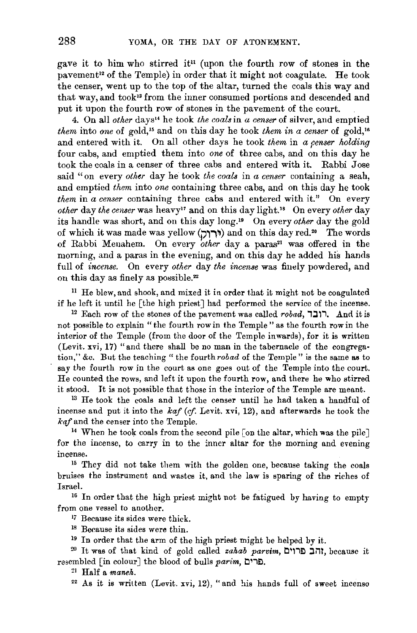gave it to him who stirred it<sup>11</sup> (upon the fourth row of stones in the pavement<sup>12</sup> of the Temple) in order that it might not coagulate. He took the censer, went up to the top of the altar, turned the coals this way and that way, and took<sup>13</sup> from the inner consumed portions and descended and put it upon the fourth row of stones in the pavement of the court.

4. On all *other* days14 he took *the coals* in *a censer* of silver, and emptied *them* into one of gold,<sup>15</sup> and on this day he took *them in a censer* of gold,<sup>16</sup> and entered with it. On all other days he took *them* in *a censer holding* four cabs, and emptied them into *one* of three cabs, and on this day he took the coals in a censer of three cabs and entered with it. Rabbi Jose said "on every *other* day he took *the coals* in *a censer* containing a seah, and emptied *them* into *one* containing three cabs, and on this day he took *them* in *a censer* containing three cabs and entered with it." On every *other* day *the censer* was heavy" and on this day light." On every *other* day its handle was short, and on this day long.'• On every *other* day the gold of which it was made was yellow (וּרוֹל) and on this day red.<sup>20</sup> The words of Rabbi Menahem. On every *other* day a paras<sup>21</sup> was offered in the morning, and a paras in the evening, and on this day he added his hands full of *incense.* On every *other* day *the incense* was finely powdered, and on this day as finely as possible.<sup>22</sup>

11 He blew, and shook, and mixed it in order that it might not be coagulated if he left it until he [the high priest] had performed the service of the incense. 12 Each row of the stones of the pavement was called *robad,* i:Jli • .And it is

not possible to explain "the fourth row in the Temple" as the fourth row in the interior of the Temple (from the door of the Temple inwards), for it is written (Levit. xvi, 17} "and there shall be no man in the tabernacle of the congrega· tion," &c. But the teaching "the fourth *rob ad* of the Temple" is the same as to say the fourth row in the court as one goes out of the Temple into the court. He counted the rows, and left it upon the fourth row, and there he who stirred

it stood. It is not possible that those in the interior of the Temple are meant. 13 He took the coals and left the censer until he had taken a handful of incense and put it into the *kaf (cf.* Levit. xvi, 12), and afterwards he took the *kaf* and the censer into the Temple.<br><sup>14</sup> When he took coals from the second pile [on the altar, which was the pile]

for the incense, to carry in to the inner altar for the morning and evening incense. 15 They did not take them with the golden one, because taking the coals

bruises the instrument and wastes it, and the law is sparing of the riches of Israel. 16 In order that the high priest might not be fatigued by having to empty

from one vessel to another.

<sup>17</sup> Because its sides were thick.

 $18$  Because its sides were thin.<br> $19$  In order that the arm of the high priest might be helped by it.

<sup>20</sup> It was of that kind of gold called *zahab parvim*, **Example 17**, because it resembled [in colour] the blood of bulls *parim,* t:l11£l. 21 Half a *maneh.* 

 $22$  As it is written (Levit. xvi, 12), "and his hands full of sweet incenso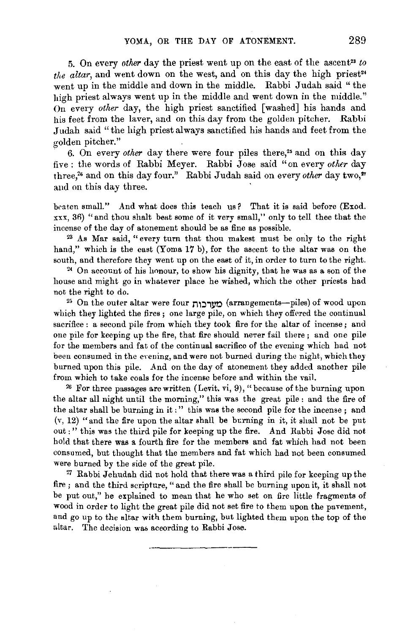5. On every *other* day the priest went up on the east of the ascent<sup>23</sup> to *the altar*, and went down on the west, and on this day the high priest<sup>24</sup> went up in the middle and down in the middle. Rabbi Judah said " the high priest always went up in the middle and went down in the middle." On every *other* day, the high priest sanctified [washed] his hands and his feet from the laver, and on this day from the golden pitcher. Rabbi J udah said "the high priest always sanctified his hands and feet from the golden pitcher."

6. On every *other* day there were four piles there,<sup>25</sup> and on this day five : the words of Rabbi Meyer. Rabbi Jose said "on every *other* day three,<sup>26</sup> and on this day four." Rabbi Judah said on every *other* day two,<sup>27</sup> and on this day three.

beaten small." And what does this teach us? That it is said before (Exod. xxx, 36) "and thou shalt beat some of it very small," only to tell thee that the incense of the day of atonement should be as fine as possible.

23 As Mar said, "every turn that thou makest must be only to the right hand," which is the east (Yoma 17 b), for the ascent to the altar was on the south, and therefore they went up on the east of it, in order to turn to the right.<br><sup>24</sup> On account of his honour, to show his dignity, that he was as a son of the

house and might go in whatever place he wished, which the other priests had not the right to do.<br><sup>25</sup> On the outer altar were four **m:** מטרבות (arrangements-piles) of wood upon

which they lighted the fires ; one large pile, on which they offered the continual sacrifice : a second pile from which they took fire for the altar of incense; and one pile for keeping up the fire, that fire should never fail there; and one pile for the members and fat of the continual sacrifice of the evening which had not been consumed in the evening, and were not burned during the night., which they burned upon this pile. And on the day of atonement they added another pile from which to take coals for the incense before and within the vail.<br><sup>26</sup> For three passages are written (Levit. vi, 9), "because of the burning upon

the altar all night until the morning," this was the great pile: and the fire of the altar shall be burning in it :" this was the second pile for the incense ; and (v, 12) "and the fire upon the altar shall be burning in it, it shall not be put out:" this was the third pile for keeping up the fire. And Rabbi Jose did not hold that there was a fourth fire for the members and fat which had not been consumed, but thought that the members and fat which had not been consumed were burned by the side of the great pile.

<sup>27</sup> Rabbi Jehudah did not hold that there was a third pile for keeping up the fire ; and the third scripture, "and the fire shall be burning upon it, it shall not be put out," he explained to mean that he who set on fire little fragments of wood in order to light the great pile did not set fire to them upon the pavement, and go up to the altar with them burning, but lighted them upon the top of the altar. The decision wa& according to Rabbi Jose.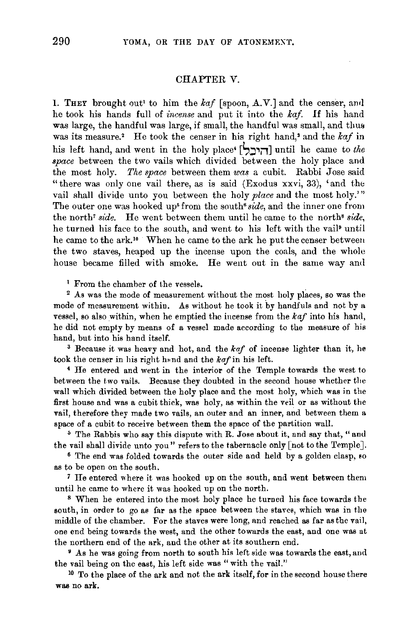## CHAPTER V.

1. THEY brought out' to him the *kaf* [spoon, A.V.] and the censer, and he took his hands full of *incense* and put it into the *kaf.* If his hand was large, the handful was large, if small, the handful was small, and thus was its measure.<sup>2</sup> He took the censer in his right hand,<sup>3</sup> and the kaf in his left hand, and went in the holy place' [l,~~i1J until he came to *the space* between the two vails which divided between the holy place and the most holy. *The space* between them *was* a cubit. Rabbi Jose said "there was only one vail there, as is said (Exodus xxvi, 33), 'and the vail shall divide unto you between the holy *place* and the most holy.'" The outer one was hooked up' from the south• *side,* and the inner one from the north' *side.* He went between them until he came to the north' *side,*  he turned his face to the south, and went to his left with the vail• until he came to the ark." When he came to the ark he put the censer between the two staves, heaped up the incense upon the coals, and the whole house became filled with smoke. He went out in the same way and

<sup>1</sup> From the chamber of the vessels.<br><sup>2</sup> As was the mode of measurement without the most holy places, so was the mode of measurement within. As without he took it by handfuls and not by a vessel, so also within, when he emptied the incense from the *kaf* into his hand, he did not empty by means of a vessel made according to the measure of his hand, but into his hand itself. 3 Because it was heavy and hot, and the *kaf* of incense lighter than it, he

took the censer in his right hmd and the *kaf* in his left. 4 He entered and went in the interior of the Temple towards the west to

between the two vails. Because they doubted in the second house whether the wall which divided between the holy place and the most holy, which was in the first house and was a cubit thick, was holy, as within the veil or as without the vail, therefore they made two vails, an outer and an inner, and between them a space of a cubit to receive between them the space of the partition wall.<br>5 The Rabbis who say this dispute with R. Jose about it, and say that, " and

the vail shall divide unto you" refers to the tabernacle only [not to the Temple].<br><sup>6</sup> The end was folded towards the outer side and held by a golden clasp, so

as to be open on the south.

7 He entered where it was hooked up on the south, and went between them until he came to where it was hooked up on the north. 8 When he entered into the most holy place he turned his face towards the

south, in order to go as far as the space between the staves, which was in the middle of the chamber. For the staves were long, and reached as far as the vail, one end being towards the west, and the other towards the east, and one was at the northern end of the ark, and the other at its southern end.

<sup>9</sup> As he was going from north to south his left side was towards the east, and the vail being on the east, his left side was " with the vail."<br><sup>10</sup> To the place of the ark and not the ark itself, for in the second house there

was no ark.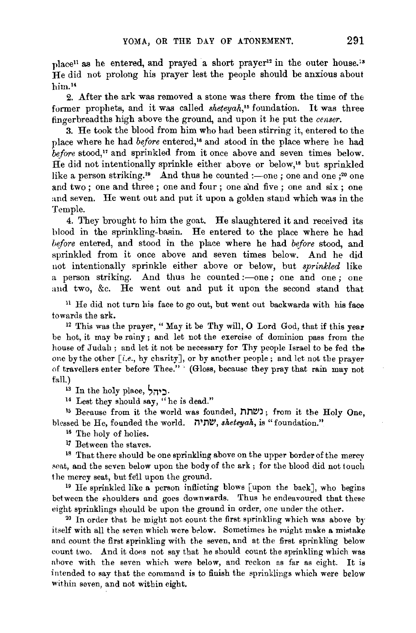place<sup>11</sup> as he entered, and prayed a short prayer<sup>12</sup> in the outer house.<sup>13</sup> He did not prolong his prayer lest the people should be anxious about him.<sup>14</sup>

2. After the ark was removed a stone was there from the time of the former prophets, and it was called *sheteyah*,<sup>15</sup> foundation. It was three fingerbreadths high above the ground, and upon it he put the *censer.* 

3. He took the blood from him who had been stirring it, entered to the place where he had *before* entered,•• and stood in the place where he had before stood,<sup>17</sup> and sprinkled from it once above and seven times below. He did not intentionally sprinkle either above or below,<sup>18</sup> but sprinkled like a person striking.<sup>19</sup> And thus he counted :—one ; one and one  $;^{20}$  one and two ; one and three ; one and four ; one and five ; one and six ; one and seven. He went out and put it upon a golden stand which was in the Temple.

4. They brought to him the goat. He slaughtered it and received its blood in the sprinkling-basin. He entered to the place where he had *before* entered, and stood in the place where he had *before* stood, and sprinkled from it once above and seven times below. And he did not intentionally sprinkle either above or below, but *sprinkled* like a person striking. And thus he counted :- one ; one and one ; one and two, &c. He went out and put it upon the second stand that

<sup>11</sup> He did not turn his face to go out, but went out backwards with his face

towards the ark.<br><sup>12</sup> This was the prayer, "May it be Thy will, O Lord God, that if this year be hot, it may be rainy ; and let not the exercise of dominion pass from the house of Judah; and let it not be necessary for Thy people Israel to be fed the one by the other *[i.e.,* by charity], or by another people; and let not the prayer of travellers enter before Thee." · (Gloss, because they pray that rain may not fall.)

13 In the holy place, ריהל.<br><sup>14</sup> Lest they should say, "he is dead."

<sup>15</sup> Because from it the world was founded, נשתת; from it the Holy One, blessed be He, founded the world. 11'MI!J, *sketeyak,* is "foundation."

16 The holy of holies.

<sup>17</sup> Between the staves.<br><sup>18</sup> That there should be one sprinkling above on the upper border of the mercy seat, and the seven below upon the body of the ark; for the blood did not touch the mercy seat, but fell upon the ground.<br><sup>19</sup> He sprinkled like a person inflicting blows [upon the back], who begins

between the shoulders and goes downwards. Thus he endeavoured that these eight sprinklings should be upon the ground in order, one under the other. 20 In order that he might not count the first sprinkling which was above by

itself with all the seven which were below. Sometimes he might make a mistake and count the first sprinkling with the seven, and at the first sprinkling below count two. And it does not say that he should count the sprinkling which was ahove with the seven which were below, and reckon as far as eight. It is intended to say that the command is to finish the sprinklings which were below within seven, and not within eight.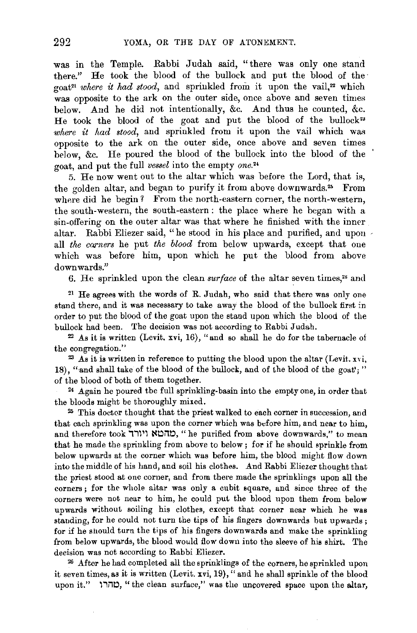was in the Temple. Rabbi Judah said, "there was only one stand there." He took the blood of the bullock and put the blood of the goat<sup>21</sup> where it had stood, and sprinkled from it upon the vail,<sup>22</sup> which was opposite to the ark on the outer side, once above and seven times below. And he did not intentionally, &c. And thus he counted, &c. He took the blood of the goat and put the blood of the bullock<sup>23</sup> *where it had stood,* and sprinkled from it upon the vail which was opposite to the ark on the outer side, once above and seven times below, &c. He poured the blood of the bullock into the blood of the goat, and put the full *vessel* into the empty *one. 2'* 

5. He now went out to the altar which was before the Lord, that is, the golden altar, and began to purify it from above downwards.<sup>25</sup> From where did he begin? From the north-eastern corner, the north-western, the south-western, the south-eastern : the place where he began with a sin-offering on the outer altar was that where he finished with the inner altar. Rabbi Eliezer said, "he stood in his place and purified, and upon all *the earners* he put *the blood* from below upwards, except that one which was before him, upon which he put the blood from above downwards."

6. He sprinkled upon the clean *surface* of the altar seven times,<sup>26</sup> and

 $21$  He agrees with the words of R. Judah, who said that there was only one stand there, and it was necessary to take away the blood of the bullock first in order to put the blood of the goat upon the stand upon which the blood of the bullock had been. The decision was not according to Rabbi Judah.

22 As it is written (Levit. xvi, 16), "and so shall he do for the tabernacle of the congregation."

 $23$  As it is written in reference to putting the blood upon the altar (Levit. xvi, 18), "and shall take of the blood of the bullock, and of the blood of the goat';" of the blood of both of them together.

24 Again he poured the full sprinkling-basin into the empty one, in order that the bloods might be thoroughly mixed.

25 This doctor thought that the priest walked to each corner in succession, and that each sprinkling was upon the corner which was before him, and near to him, and therefore took יוורד, "he purified from above downwards," to mean that he made the sprinkling from above to below; for if he should sprinkle from below upwards at the corner which was before him, the blood might flow down into the middle of his hand, and soil his clothes. And Rabbi Eliezer thought that the priest stood at one corner, and from there made the sprinklings upon all the corners; for the whole altar was only a cubit square, and since three of the corners were not near to him, he could put the blood upon them from below upwards without soiling his clothes, except that corner near which he was standing, for he could not turn the tips of his fingers downwards but upwards; for if he should turn the tips of his fingers downwards and make the sprinkling from below upwards, the blood would flow down into the sleeve of his shirt. The decision was not according to Rabbi Eliezer.

26 After he had completed all the sprinklings of the corners, he sprinkled upon it seven times, as it is written (Levit. xvi, 19), "and he shall sprinkle of the blood upon it." (טהרו, "the clean surface," was the uncovered space upon the altar,